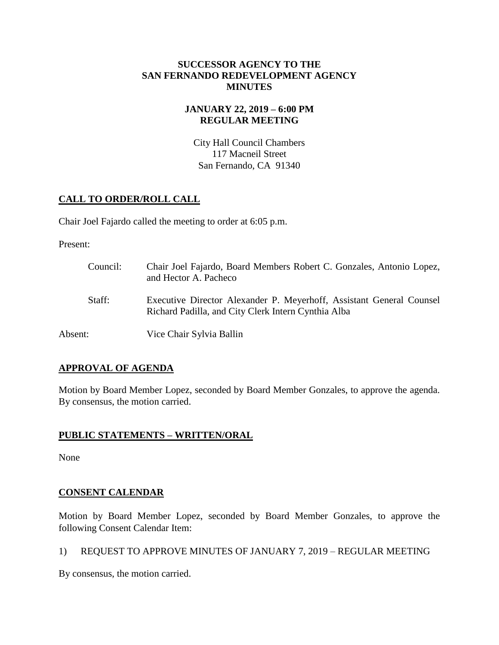#### **SUCCESSOR AGENCY TO THE SAN FERNANDO REDEVELOPMENT AGENCY MINUTES**

# **JANUARY 22, 2019 – 6:00 PM REGULAR MEETING**

City Hall Council Chambers 117 Macneil Street San Fernando, CA 91340

# **CALL TO ORDER/ROLL CALL**

Chair Joel Fajardo called the meeting to order at 6:05 p.m.

Present:

| Council: | Chair Joel Fajardo, Board Members Robert C. Gonzales, Antonio Lopez,<br>and Hector A. Pacheco                               |
|----------|-----------------------------------------------------------------------------------------------------------------------------|
| Staff:   | Executive Director Alexander P. Meyerhoff, Assistant General Counsel<br>Richard Padilla, and City Clerk Intern Cynthia Alba |
| Absent:  | Vice Chair Sylvia Ballin                                                                                                    |

# **APPROVAL OF AGENDA**

Motion by Board Member Lopez, seconded by Board Member Gonzales, to approve the agenda. By consensus, the motion carried.

# **PUBLIC STATEMENTS – WRITTEN/ORAL**

None

# **CONSENT CALENDAR**

Motion by Board Member Lopez, seconded by Board Member Gonzales, to approve the following Consent Calendar Item:

1) REQUEST TO APPROVE MINUTES OF JANUARY 7, 2019 – REGULAR MEETING

By consensus, the motion carried.